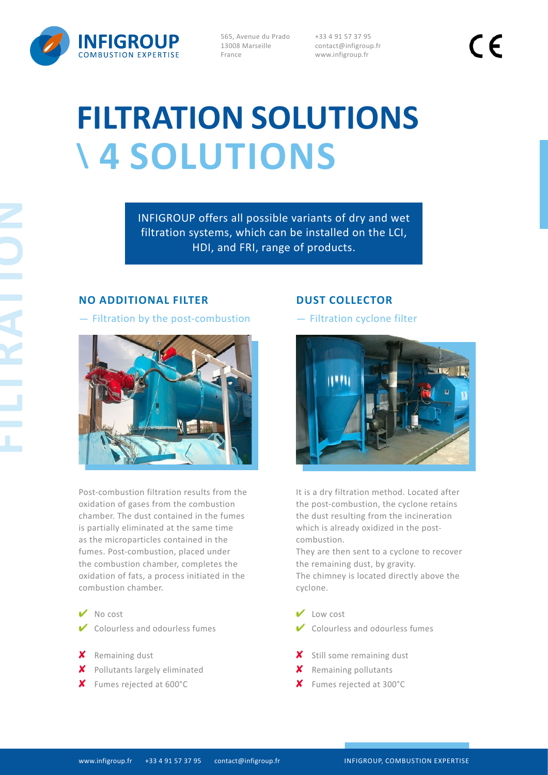

565, Avenue du Prado 13008 Marseille France

+33 4 91 57 37 95 contact@infigroup.fr www.infigroup.fr

 $\epsilon$ 

# **FILTRATION SOLUTIONS \ 4 SOLUTIONS**

INFIGROUP offers all possible variants of dry and wet filtration systems, which can be installed on the LCI, HDI, and FRI, range of products.

# **NO ADDITIONAL FILTER**

- Filtration by the post-combustion



Post-combustion filtration results from the oxidation of gases from the combustion chamber. The dust contained in the fumes is partially eliminated at the same time as the microparticles contained in the fumes. Post-combustion, placed under the combustion chamber, completes the oxidation of fats, a process initiated in the combustion chamber.

- ✔ No cost
- $\vee$  Colourless and odourless fumes
- ✘ Remaining dust
- ✘ Pollutants largely eliminated
- ✘ Fumes rejected at 600°C

# **DUST COLLECTOR**

- Filtration cyclone filter



It is a dry filtration method. Located after the post-combustion, the cyclone retains the dust resulting from the incineration which is already oxidized in the postcombustion.

They are then sent to a cyclone to recover the remaining dust, by gravity. The chimney is located directly above the cyclone.

- ✔ Low cost
- $\vee$  Colourless and odourless fumes
- ✘ Still some remaining dust
- ✘ Remaining pollutants
- ✘ Fumes rejected at 300°C